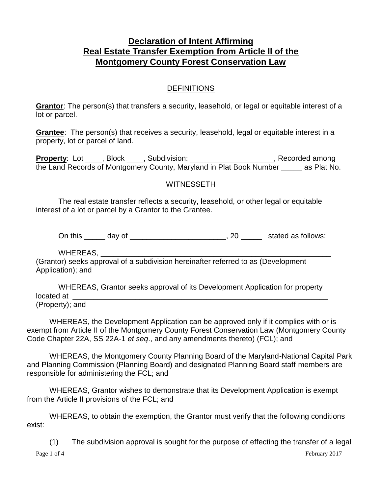## **Declaration of Intent Affirming Real Estate Transfer Exemption from Article II of the Montgomery County Forest Conservation Law**

## DEFINITIONS

**Grantor**: The person(s) that transfers a security, leasehold, or legal or equitable interest of a lot or parcel.

**Grantee**: The person(s) that receives a security, leasehold, legal or equitable interest in a property, lot or parcel of land.

**Property**: Lot \_\_\_\_, Block \_\_\_\_, Subdivision: \_\_\_\_\_\_\_\_\_\_\_\_\_\_\_\_\_\_\_\_\_, Recorded among the Land Records of Montgomery County, Maryland in Plat Book Number \_\_\_\_\_ as Plat No.

## WITNESSETH

The real estate transfer reflects a security, leasehold, or other legal or equitable interest of a lot or parcel by a Grantor to the Grantee.

On this \_\_\_\_\_ day of \_\_\_\_\_\_\_\_\_\_\_\_\_\_\_\_\_\_\_\_\_, 20 \_\_\_\_\_\_ stated as follows:

WHEREAS,

(Grantor) seeks approval of a subdivision hereinafter referred to as (Development Application); and

WHEREAS, Grantor seeks approval of its Development Application for property located at \_\_\_\_\_\_\_\_\_\_\_\_\_\_\_\_\_\_\_\_\_\_\_\_\_\_\_\_\_\_\_\_\_\_\_\_\_\_\_\_\_\_\_\_\_\_\_\_\_\_\_\_\_\_\_\_\_\_\_\_\_ (Property); and

WHEREAS, the Development Application can be approved only if it complies with or is exempt from Article II of the Montgomery County Forest Conservation Law (Montgomery County Code Chapter 22A, SS 22A-1 *et seq*., and any amendments thereto) (FCL); and

WHEREAS, the Montgomery County Planning Board of the Maryland-National Capital Park and Planning Commission (Planning Board) and designated Planning Board staff members are responsible for administering the FCL; and

WHEREAS, Grantor wishes to demonstrate that its Development Application is exempt from the Article II provisions of the FCL; and

WHEREAS, to obtain the exemption, the Grantor must verify that the following conditions exist:

Page 1 of 4 February 2017 (1) The subdivision approval is sought for the purpose of effecting the transfer of a legal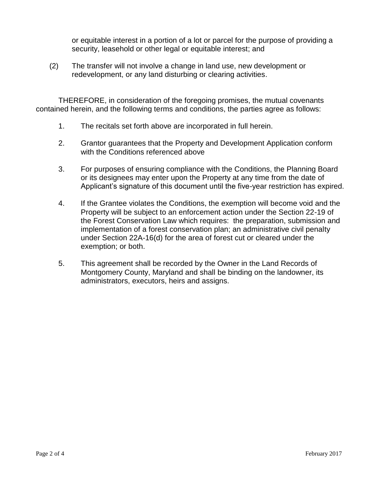or equitable interest in a portion of a lot or parcel for the purpose of providing a security, leasehold or other legal or equitable interest; and

(2) The transfer will not involve a change in land use, new development or redevelopment, or any land disturbing or clearing activities.

THEREFORE, in consideration of the foregoing promises, the mutual covenants contained herein, and the following terms and conditions, the parties agree as follows:

- 1. The recitals set forth above are incorporated in full herein.
- 2. Grantor guarantees that the Property and Development Application conform with the Conditions referenced above
- 3. For purposes of ensuring compliance with the Conditions, the Planning Board or its designees may enter upon the Property at any time from the date of Applicant's signature of this document until the five-year restriction has expired.
- 4. If the Grantee violates the Conditions, the exemption will become void and the Property will be subject to an enforcement action under the Section 22-19 of the Forest Conservation Law which requires: the preparation, submission and implementation of a forest conservation plan; an administrative civil penalty under Section 22A-16(d) for the area of forest cut or cleared under the exemption; or both.
- 5. This agreement shall be recorded by the Owner in the Land Records of Montgomery County, Maryland and shall be binding on the landowner, its administrators, executors, heirs and assigns.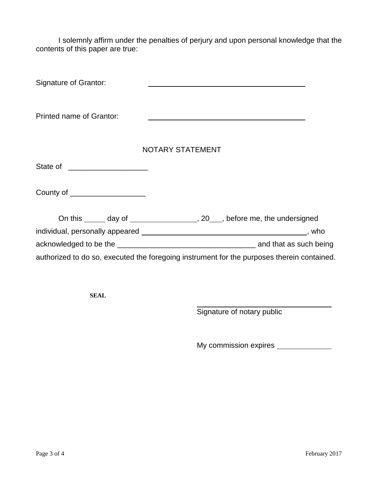I solemnly affirm under the penalties of perjury and upon personal knowledge that the contents of this paper are true:

| Signature of Grantor:           |                                                                                            |  |
|---------------------------------|--------------------------------------------------------------------------------------------|--|
| Printed name of Grantor:        |                                                                                            |  |
|                                 | <b>NOTARY STATEMENT</b>                                                                    |  |
| State of _____________________  |                                                                                            |  |
| County of _____________________ |                                                                                            |  |
|                                 | On this ______ day of _____________________, 20____, before me, the undersigned            |  |
|                                 |                                                                                            |  |
|                                 |                                                                                            |  |
|                                 | authorized to do so, executed the foregoing instrument for the purposes therein contained. |  |

**SEAL**

Signature of notary public

My commission expires \_\_\_\_\_\_\_\_\_\_\_\_\_\_\_